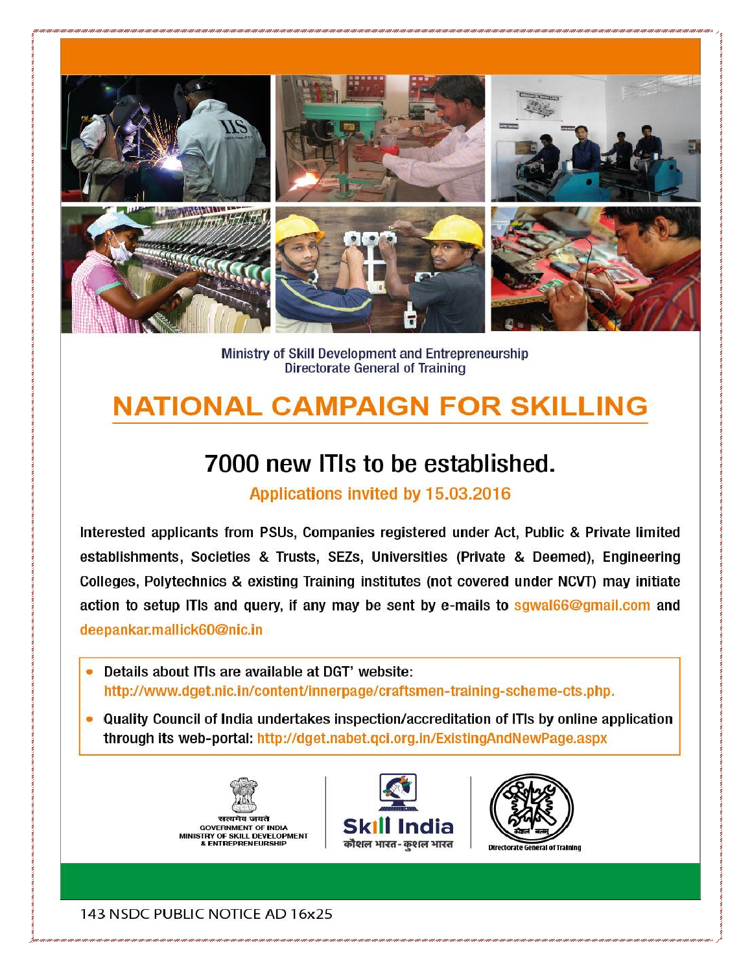

Ministry of Skill Development and Entrepreneurship **Directorate General of Training** 

# **NATIONAL CAMPAIGN FOR SKILLING**

## 7000 new ITIs to be established.

Applications invited by 15.03.2016

Interested applicants from PSUs, Companies registered under Act, Public & Private limited establishments, Societies & Trusts, SEZs, Universities (Private & Deemed), Engineering Colleges, Polytechnics & existing Training institutes (not covered under NCVT) may initiate action to setup ITIs and query, if any may be sent by e-mails to sgwal66@gmail.com and deepankar.mallick60@nic.in

- Details about ITIs are available at DGT' website: http://www.dget.nic.in/content/innerpage/craftsmen-training-scheme-cts.php.
- Quality Council of India undertakes inspection/accreditation of ITIs by online application through its web-portal: http://dget.nabet.qci.org.in/ExistingAndNewPage.aspx







al of Training

143 NSDC PUBLIC NOTICE AD 16x25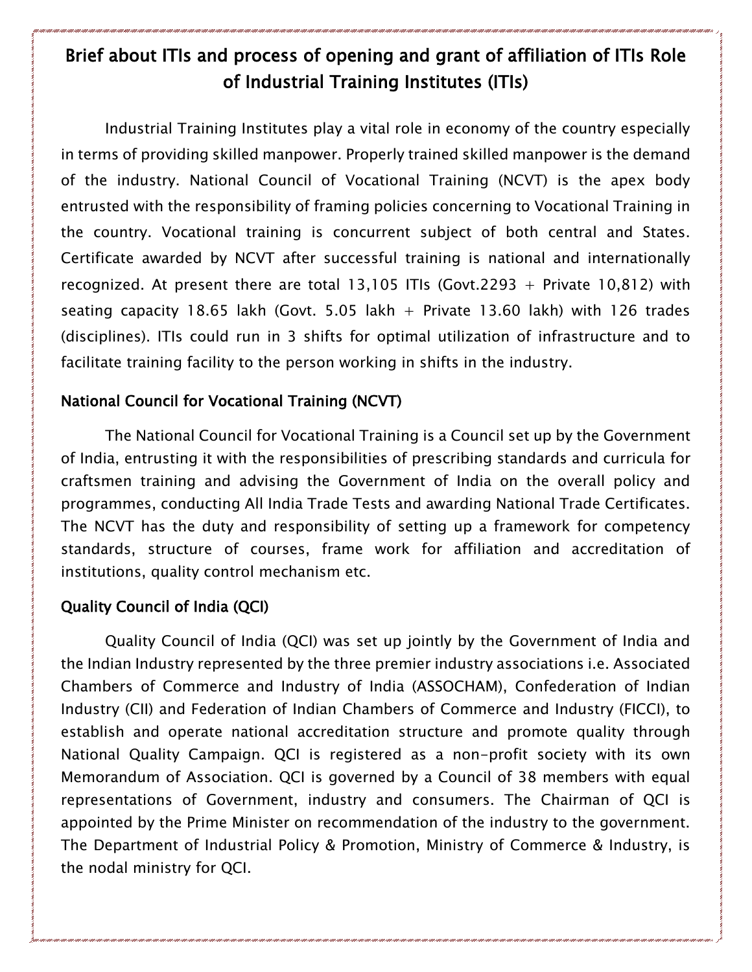### Brief about ITIs and process of opening and grant of affiliation of ITIs Role of Industrial Training Institutes (ITIs)

Industrial Training Institutes play a vital role in economy of the country especially in terms of providing skilled manpower. Properly trained skilled manpower is the demand of the industry. National Council of Vocational Training (NCVT) is the apex body entrusted with the responsibility of framing policies concerning to Vocational Training in the country. Vocational training is concurrent subject of both central and States. Certificate awarded by NCVT after successful training is national and internationally recognized. At present there are total 13,105 ITIs (Govt.2293 + Private 10,812) with seating capacity 18.65 lakh (Govt. 5.05 lakh  $+$  Private 13.60 lakh) with 126 trades (disciplines). ITIs could run in 3 shifts for optimal utilization of infrastructure and to facilitate training facility to the person working in shifts in the industry.

#### National Council for Vocational Training (NCVT)

The National Council for Vocational Training is a Council set up by the Government of India, entrusting it with the responsibilities of prescribing standards and curricula for craftsmen training and advising the Government of India on the overall policy and programmes, conducting All India Trade Tests and awarding National Trade Certificates. The NCVT has the duty and responsibility of setting up a framework for competency standards, structure of courses, frame work for affiliation and accreditation of institutions, quality control mechanism etc.

#### Quality Council of India (QCI)

Quality Council of India (QCI) was set up jointly by the Government of India and the Indian Industry represented by the three premier industry associations i.e. Associated Chambers of Commerce and Industry of India (ASSOCHAM), Confederation of Indian Industry (CII) and Federation of Indian Chambers of Commerce and Industry (FICCI), to establish and operate national accreditation structure and promote quality through National Quality Campaign. QCI is registered as a non-profit society with its own Memorandum of Association. QCI is governed by a Council of 38 members with equal representations of Government, industry and consumers. The Chairman of QCI is appointed by the Prime Minister on recommendation of the industry to the government. The Department of Industrial Policy & Promotion, Ministry of Commerce & Industry, is the nodal ministry for QCI.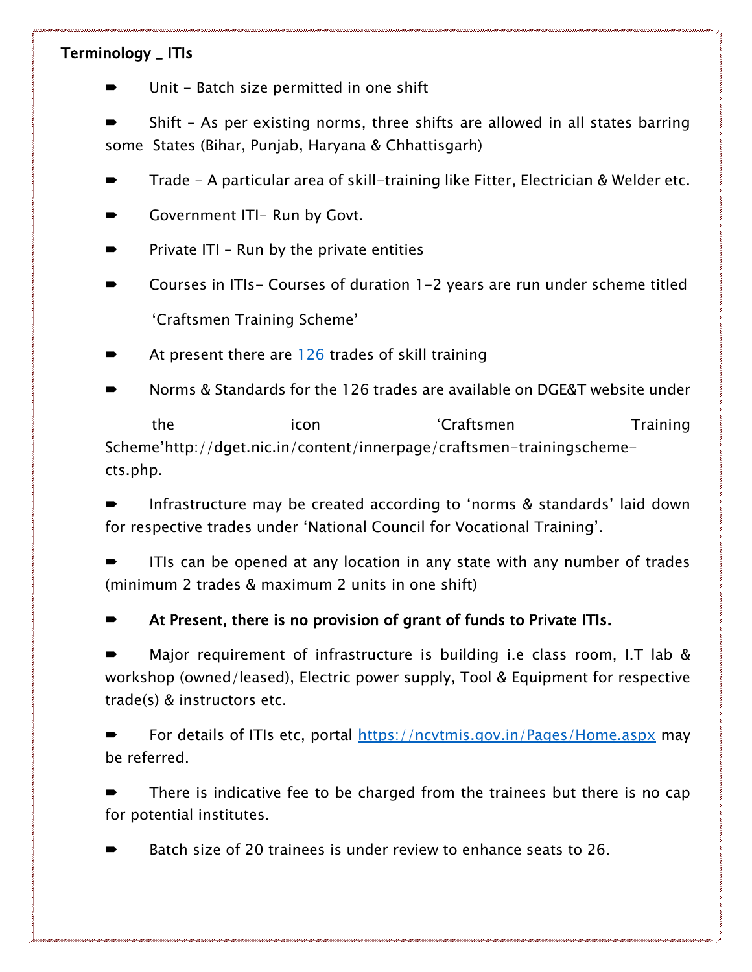#### Terminology \_ ITIs

- Unit Batch size permitted in one shift
- Shift As per existing norms, three shifts are allowed in all states barring some States (Bihar, Punjab, Haryana & Chhattisgarh)
- Trade A particular area of skill-training like Fitter, Electrician & Welder etc.
- Government ITI- Run by Govt.
- Private ITI Run by the private entities
- Courses in ITIs- Courses of duration 1-2 years are run under scheme titled 'Craftsmen Training Scheme'
- At present there are  $126$  trades of skill training
- Norms & Standards for the 126 trades are available on DGE&T website under

the icon icon 'Craftsmen Training Scheme'http://dget.nic.in/content/innerpage/craftsmen-trainingschemects.php.

 Infrastructure may be created according to 'norms & standards' laid down for respective trades under 'National Council for Vocational Training'.

 ITIs can be opened at any location in any state with any number of trades (minimum 2 trades & maximum 2 units in one shift)

At Present, there is no provision of grant of funds to Private ITIs.

 Major requirement of infrastructure is building i.e class room, I.T lab & workshop (owned/leased), Electric power supply, Tool & Equipment for respective trade(s) & instructors etc.

 For details of ITIs etc, portal<https://ncvtmis.gov.in/Pages/Home.aspx> may be referred.

 There is indicative fee to be charged from the trainees but there is no cap for potential institutes.

Batch size of 20 trainees is under review to enhance seats to 26.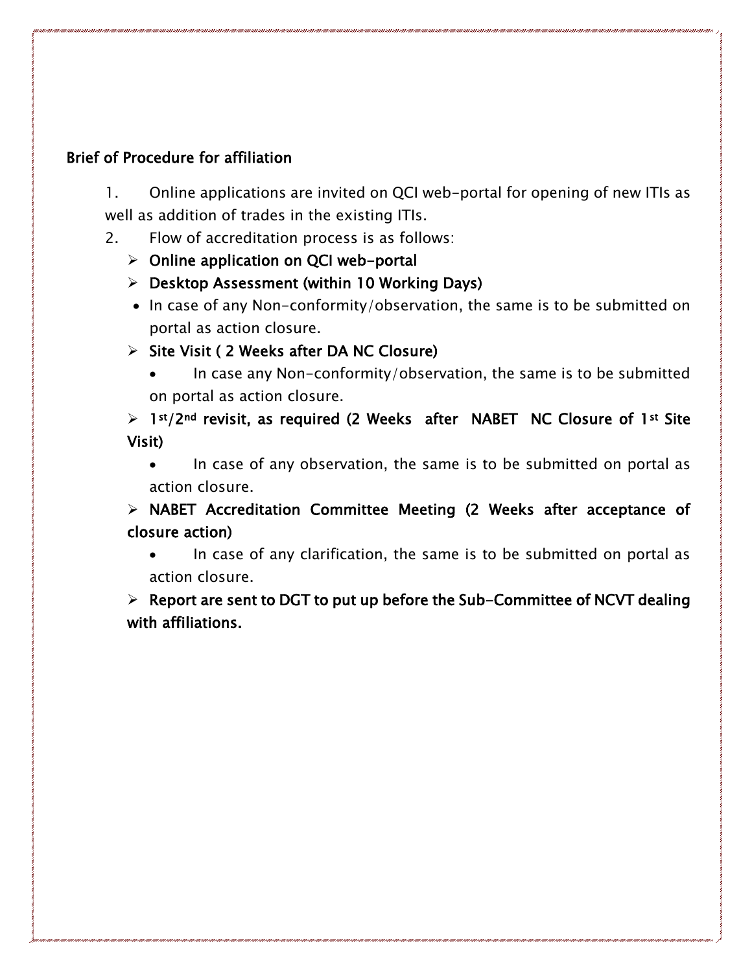#### Brief of Procedure for affiliation

1. Online applications are invited on QCI web-portal for opening of new ITIs as well as addition of trades in the existing ITIs.

- 2. Flow of accreditation process is as follows:
	- $\triangleright$  Online application on QCI web-portal
	- $\triangleright$  Desktop Assessment (within 10 Working Days)
	- In case of any Non-conformity/observation, the same is to be submitted on portal as action closure.
	- $\triangleright$  Site Visit ( 2 Weeks after DA NC Closure)
		- In case any Non-conformity/observation, the same is to be submitted on portal as action closure.

 $> 1$ <sup>st</sup>/2<sup>nd</sup> revisit, as required (2 Weeks after NABET NC Closure of 1<sup>st</sup> Site Visit)

• In case of any observation, the same is to be submitted on portal as action closure.

 NABET Accreditation Committee Meeting (2 Weeks after acceptance of closure action)

• In case of any clarification, the same is to be submitted on portal as action closure.

 $\triangleright$  Report are sent to DGT to put up before the Sub-Committee of NCVT dealing with affiliations.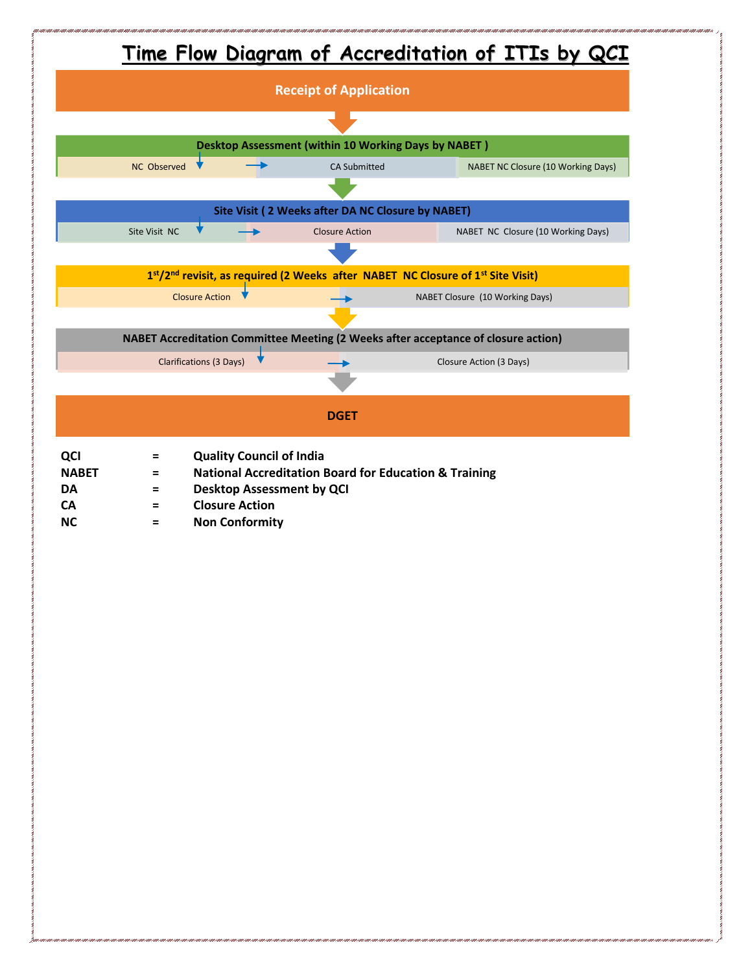

**NC = Non Conformity**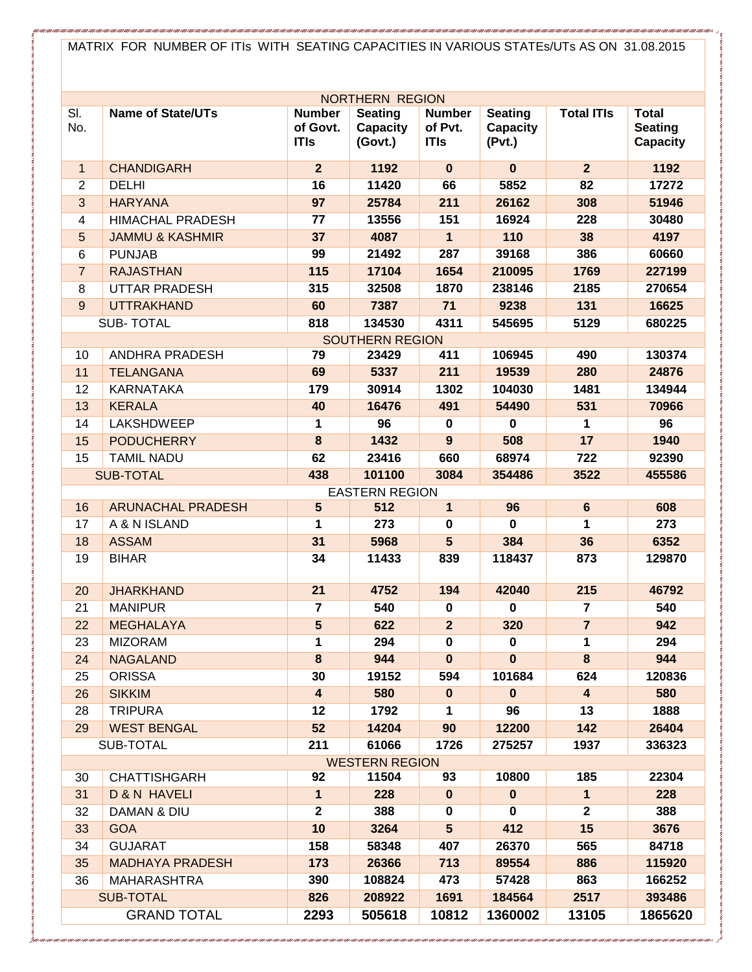MATRIX FOR NUMBER OF ITIs WITH SEATING CAPACITIES IN VARIOUS STATEs/UTs AS ON 31.08.2015

| <b>NORTHERN REGION</b>  |                            |                                          |                                       |                                         |                                      |                         |                                                   |
|-------------------------|----------------------------|------------------------------------------|---------------------------------------|-----------------------------------------|--------------------------------------|-------------------------|---------------------------------------------------|
| SI.<br>No.              | <b>Name of State/UTs</b>   | <b>Number</b><br>of Govt.<br><b>ITIs</b> | <b>Seating</b><br>Capacity<br>(Govt.) | <b>Number</b><br>of Pvt.<br><b>ITIs</b> | <b>Seating</b><br>Capacity<br>(Pvt.) | <b>Total ITIs</b>       | <b>Total</b><br><b>Seating</b><br><b>Capacity</b> |
| $\mathbf{1}$            | <b>CHANDIGARH</b>          | $\overline{2}$                           | 1192                                  | $\mathbf{0}$                            | $\mathbf 0$                          | $\overline{2}$          | 1192                                              |
| $\overline{2}$          | <b>DELHI</b>               | 16                                       | 11420                                 | 66                                      | 5852                                 | 82                      | 17272                                             |
| 3                       | <b>HARYANA</b>             | 97                                       | 25784                                 | 211                                     | 26162                                | 308                     | 51946                                             |
| $\overline{4}$          | <b>HIMACHAL PRADESH</b>    | 77                                       | 13556                                 | 151                                     | 16924                                | 228                     | 30480                                             |
| $5\phantom{.}$          | <b>JAMMU &amp; KASHMIR</b> | 37                                       | 4087                                  | 1                                       | 110                                  | 38                      | 4197                                              |
| 6                       | <b>PUNJAB</b>              | 99                                       | 21492                                 | 287                                     | 39168                                | 386                     | 60660                                             |
| $\overline{7}$          | <b>RAJASTHAN</b>           | 115                                      | 17104                                 | 1654                                    | 210095                               | 1769                    | 227199                                            |
| 8                       | <b>UTTAR PRADESH</b>       | 315                                      | 32508                                 | 1870                                    | 238146                               | 2185                    | 270654                                            |
| 9                       | <b>UTTRAKHAND</b>          | 60                                       | 7387                                  | 71                                      | 9238                                 | 131                     | 16625                                             |
|                         | <b>SUB-TOTAL</b>           | 818                                      | 134530                                | 4311                                    | 545695                               | 5129                    | 680225                                            |
|                         |                            |                                          | <b>SOUTHERN REGION</b>                |                                         |                                      |                         |                                                   |
| 10                      | <b>ANDHRA PRADESH</b>      | 79                                       | 23429                                 | 411                                     | 106945                               | 490                     | 130374                                            |
| 11                      | <b>TELANGANA</b>           | 69                                       | 5337                                  | 211                                     | 19539                                | 280                     | 24876                                             |
| 12                      | <b>KARNATAKA</b>           | 179                                      | 30914                                 | 1302                                    | 104030                               | 1481                    | 134944                                            |
| 13                      | <b>KERALA</b>              | 40                                       | 16476                                 | 491                                     | 54490                                | 531                     | 70966                                             |
| 14                      | <b>LAKSHDWEEP</b>          | 1                                        | 96                                    | $\mathbf 0$                             | $\mathbf 0$                          | 1                       | 96                                                |
| 15                      | <b>PODUCHERRY</b>          | 8                                        | 1432                                  | $\overline{9}$                          | 508                                  | 17                      | 1940                                              |
| 15                      | <b>TAMIL NADU</b>          | 62                                       | 23416                                 | 660                                     | 68974                                | 722                     | 92390                                             |
|                         | <b>SUB-TOTAL</b>           | 438                                      | 101100                                | 3084                                    | 354486                               | 3522                    | 455586                                            |
|                         |                            |                                          | <b>EASTERN REGION</b>                 |                                         |                                      |                         |                                                   |
| 16                      | <b>ARUNACHAL PRADESH</b>   | $5\overline{)}$                          | 512                                   | $\mathbf{1}$                            | 96                                   | $6\phantom{1}$          | 608                                               |
| 17                      | A & N ISLAND               | 1                                        | 273                                   | $\mathbf 0$                             | $\mathbf 0$                          | 1                       | 273                                               |
| 18                      | <b>ASSAM</b>               | 31                                       | 5968                                  | 5                                       | 384                                  | 36                      | 6352                                              |
| 19                      | <b>BIHAR</b>               | 34                                       | 11433                                 | 839                                     | 118437                               | 873                     | 129870                                            |
| 20                      | <b>JHARKHAND</b>           | 21                                       | 4752                                  | 194                                     | 42040                                | 215                     | 46792                                             |
| 21                      | <b>MANIPUR</b>             | $\overline{7}$                           | 540                                   | $\mathbf 0$                             | $\mathbf 0$                          | $\overline{7}$          | 540                                               |
| 22                      | <b>MEGHALAYA</b>           | 5                                        | 622                                   | $\overline{2}$                          | 320                                  | $\overline{7}$          | 942                                               |
| 23                      | <b>MIZORAM</b>             | 1                                        | 294                                   | 0                                       | 0                                    | 1                       | 294                                               |
| 24                      | <b>NAGALAND</b>            | 8                                        | 944                                   | $\mathbf{0}$                            | $\bf{0}$                             | 8                       | 944                                               |
| 25                      | <b>ORISSA</b>              | 30                                       | 19152                                 | 594                                     | 101684                               | 624                     | 120836                                            |
| 26                      | <b>SIKKIM</b>              | $\overline{\mathbf{4}}$                  | 580                                   | $\bf{0}$                                | $\pmb{0}$                            | $\overline{\mathbf{4}}$ | 580                                               |
| 28                      | <b>TRIPURA</b>             | 12                                       | 1792                                  | 1                                       | 96                                   | 13                      | 1888                                              |
| 29                      | <b>WEST BENGAL</b>         | 52                                       | 14204                                 | 90                                      | 12200                                | 142                     | 26404                                             |
|                         | SUB-TOTAL                  | 211                                      | 61066                                 | 1726                                    | 275257                               | 1937                    | 336323                                            |
| <b>WESTERN REGION</b>   |                            |                                          |                                       |                                         |                                      |                         |                                                   |
| 30                      | <b>CHATTISHGARH</b>        | 92                                       | 11504                                 | 93                                      | 10800                                | 185                     | 22304                                             |
| 31                      | <b>D &amp; N HAVELI</b>    | 1                                        | 228                                   | $\bf{0}$                                | $\pmb{0}$                            | $\mathbf{1}$            | 228                                               |
| 32                      | DAMAN & DIU                | $\mathbf 2$                              | 388                                   | 0                                       | $\mathbf 0$                          | $\mathbf 2$             | 388                                               |
| 33                      | <b>GOA</b>                 | 10                                       | 3264                                  | $5\phantom{.0}$                         | 412                                  | 15                      | 3676                                              |
| 34                      | <b>GUJARAT</b>             | 158                                      | 58348                                 | 407                                     | 26370                                | 565                     | 84718                                             |
| 35                      | <b>MADHAYA PRADESH</b>     | 173                                      | 26366                                 | 713                                     | 89554                                | 886                     | 115920                                            |
| 36                      | <b>MAHARASHTRA</b>         | 390                                      | 108824                                | 473                                     | 57428                                | 863                     | 166252                                            |
| 826<br><b>SUB-TOTAL</b> |                            |                                          | 208922                                | 1691                                    | 184564                               | 2517                    | 393486                                            |
|                         | <b>GRAND TOTAL</b>         | 2293                                     | 505618                                | 10812                                   | 1360002                              | 13105                   | 1865620                                           |
|                         |                            |                                          |                                       |                                         |                                      |                         |                                                   |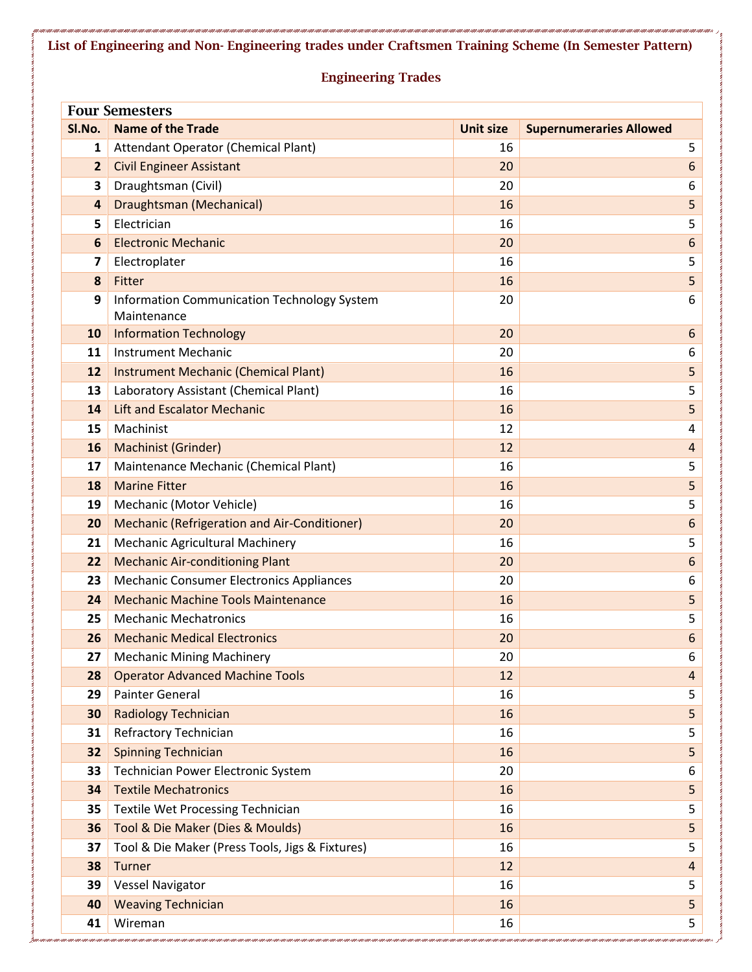**Engineering Trades Four Semesters Sl.No. Name of the Trade Unit size Supernumeraries Allowed** Attendant Operator (Chemical Plant) 16 5 Civil Engineer Assistant **20** 6 Draughtsman (Civil) 20 6 Draughtsman (Mechanical) 16 5 Electrician 5 Electronic Mechanic 20 6 Electroplater 5 Fitter 16  $\overline{\phantom{a}}$  5 Information Communication Technology System Maintenance **6**  Information Technology **20 10 10 10 20 10 20 10 20 11 20 11**  Instrument Mechanic **11** Instrument Mechanic **6**  Instrument Mechanic (Chemical Plant) 16 5 Laboratory Assistant (Chemical Plant) 16 5 Lift and Escalator Mechanic 16 **16 5** 5 Machinist 4 **12** Machinist 4 Machinist (Grinder) 12 4 Maintenance Mechanic (Chemical Plant) 16 5 Marine Fitter 16 5 Mechanic (Motor Vehicle) 16 5 Mechanic (Refrigeration and Air-Conditioner) 20 6 Mechanic Agricultural Machinery 16 16 5 Mechanic Air-conditioning Plant 20 6 Mechanic Consumer Electronics Appliances 20 20 Mechanic Machine Tools Maintenance 16 5 Mechanic Mechatronics **16 16 16 16 16 16 16**  Mechanic Medical Electronics **20 120 20 120 20 120 20 120 20 120 20 120 20 120 20 120 20 120 20 120 20 120 20 120 20 120 20 120 20 120 20 120 20 120** Mechanic Mining Machinery 20 20 **6**  Operator Advanced Machine Tools 12 4 4 **12 4 12 4 Advanced Machine Tools 12 4**  Painter General 5 Radiology Technician **16 Stuart Stuart Stuart Stuart Stuart Stuart Stuart Stuart Stuart Stuart Stuart Stuart Stuart Stuart Stuart Stuart Stuart Stuart Stuart Stuart Stuart Stuart Stuart Stuart Stuart Stuart Stuart Stu**  Refractory Technician 16 5 Spinning Technician 16 **5** 5 Technician Power Electronic System **20 120 120 120 120 120 120 120 120 120 120 120 120 120 120 120 120 120 120 120 120 120 120 120 120 120 120 120 120 120 12**  Textile Mechatronics 16 5 Textile Wet Processing Technician 16 16 Tool & Die Maker (Dies & Moulds) 16 5 Tool & Die Maker (Press Tools, Jigs & Fixtures) 16 16 16 16 16 5 Turner 12 4 Vessel Navigator 5 Weaving Technician 16 5

Wireman 16 5

**List of Engineering and Non- Engineering trades under Craftsmen Training Scheme (In Semester Pattern)**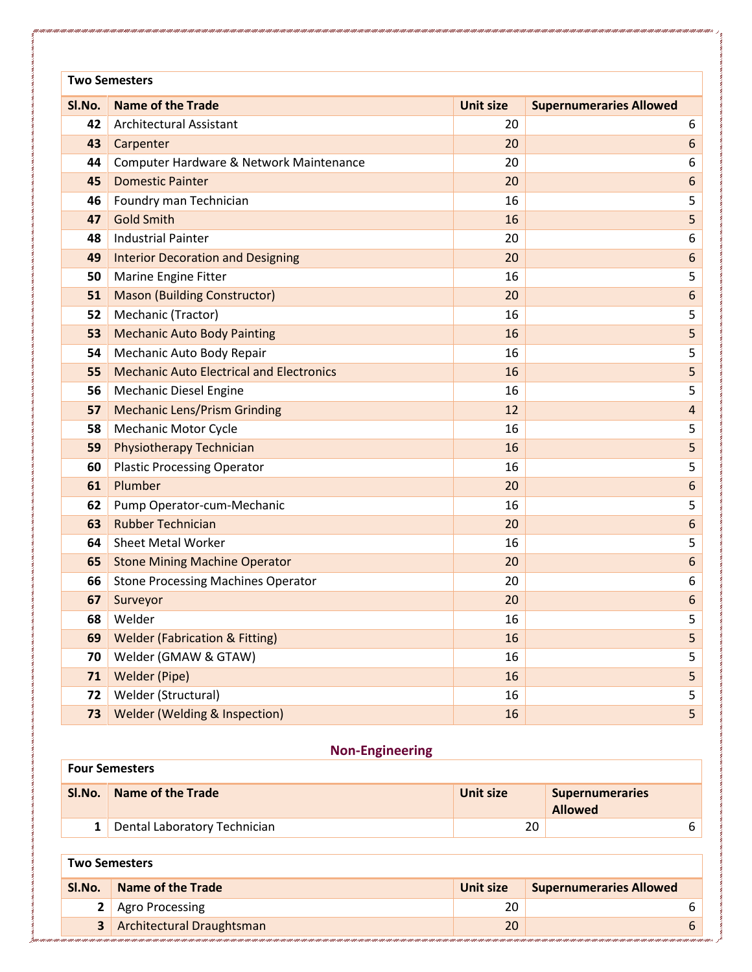| <b>Two Semesters</b> |                                                 |                  |                                |  |  |
|----------------------|-------------------------------------------------|------------------|--------------------------------|--|--|
| SI.No.               | <b>Name of the Trade</b>                        | <b>Unit size</b> | <b>Supernumeraries Allowed</b> |  |  |
| 42                   | Architectural Assistant                         | 20               | 6                              |  |  |
| 43                   | Carpenter                                       | 20               | $\boldsymbol{6}$               |  |  |
| 44                   | Computer Hardware & Network Maintenance         | 20               | 6                              |  |  |
| 45                   | <b>Domestic Painter</b>                         | 20               | $\boldsymbol{6}$               |  |  |
| 46                   | Foundry man Technician                          | 16               | 5                              |  |  |
| 47                   | <b>Gold Smith</b>                               | 16               | 5                              |  |  |
| 48                   | <b>Industrial Painter</b>                       | 20               | 6                              |  |  |
| 49                   | <b>Interior Decoration and Designing</b>        | 20               | $\boldsymbol{6}$               |  |  |
| 50                   | Marine Engine Fitter                            | 16               | 5                              |  |  |
| 51                   | <b>Mason (Building Constructor)</b>             | 20               | $\boldsymbol{6}$               |  |  |
| 52                   | Mechanic (Tractor)                              | 16               | 5                              |  |  |
| 53                   | <b>Mechanic Auto Body Painting</b>              | 16               | 5                              |  |  |
| 54                   | Mechanic Auto Body Repair                       | 16               | 5                              |  |  |
| 55                   | <b>Mechanic Auto Electrical and Electronics</b> | 16               | 5                              |  |  |
| 56                   | <b>Mechanic Diesel Engine</b>                   | 16               | 5                              |  |  |
| 57                   | <b>Mechanic Lens/Prism Grinding</b>             | 12               | $\overline{4}$                 |  |  |
| 58                   | <b>Mechanic Motor Cycle</b>                     | 16               | 5                              |  |  |
| 59                   | Physiotherapy Technician                        | 16               | 5                              |  |  |
| 60                   | <b>Plastic Processing Operator</b>              | 16               | 5                              |  |  |
| 61                   | Plumber                                         | 20               | $\boldsymbol{6}$               |  |  |
| 62                   | Pump Operator-cum-Mechanic                      | 16               | 5                              |  |  |
| 63                   | <b>Rubber Technician</b>                        | 20               | $\boldsymbol{6}$               |  |  |
| 64                   | <b>Sheet Metal Worker</b>                       | 16               | 5                              |  |  |
| 65                   | <b>Stone Mining Machine Operator</b>            | 20               | 6                              |  |  |
| 66                   | <b>Stone Processing Machines Operator</b>       | 20               | 6                              |  |  |
| 67                   | Surveyor                                        | 20               | 6                              |  |  |
| 68                   | Welder                                          | 16               | 5                              |  |  |
| 69                   | <b>Welder (Fabrication &amp; Fitting)</b>       | 16               | 5                              |  |  |
| 70                   | Welder (GMAW & GTAW)                            | 16               | 5                              |  |  |
| 71                   | <b>Welder (Pipe)</b>                            | 16               | 5                              |  |  |
| 72                   | Welder (Structural)                             | 16               | 5                              |  |  |
| 73                   | Welder (Welding & Inspection)                   | 16               | 5                              |  |  |

#### **Non-Engineering**

### **Four Semesters SI.No.** Name of the Trade **Name of the Trade Name of the Trade Unit size Unit size Supernumeraries Allowed** Dental Laboratory Technician 6

#### **Two Semesters**

| <b>Name of the Trade</b><br>SI.No. | Unit size | Supernumeraries Allowed |
|------------------------------------|-----------|-------------------------|
| 2 Agro Processing                  |           |                         |
| 3 Architectural Draughtsman        |           |                         |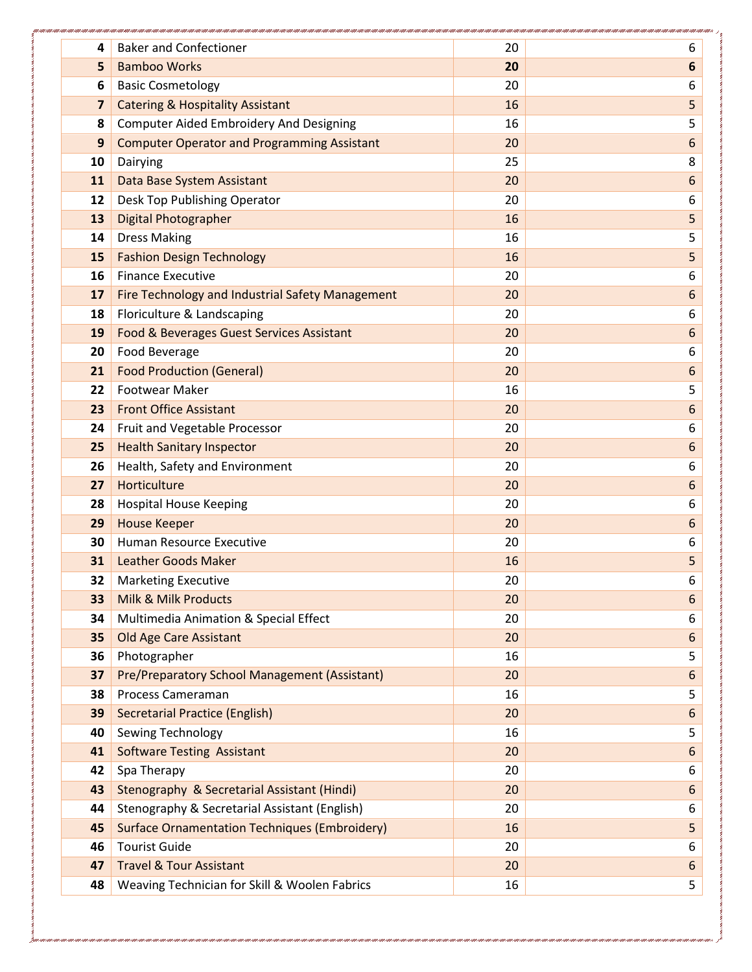| 4                       | <b>Baker and Confectioner</b>                                                | 20 | 6                |
|-------------------------|------------------------------------------------------------------------------|----|------------------|
| 5                       | <b>Bamboo Works</b>                                                          | 20 | $6\phantom{1}6$  |
| 6                       | <b>Basic Cosmetology</b>                                                     | 20 | 6                |
| $\overline{\mathbf{z}}$ | <b>Catering &amp; Hospitality Assistant</b>                                  | 16 | 5                |
| 8                       | <b>Computer Aided Embroidery And Designing</b>                               | 16 | 5                |
| 9                       | <b>Computer Operator and Programming Assistant</b>                           | 20 | 6                |
| 10                      | Dairying                                                                     | 25 | 8                |
| 11                      | Data Base System Assistant                                                   | 20 | 6                |
| 12                      | Desk Top Publishing Operator                                                 | 20 | 6                |
| 13                      | <b>Digital Photographer</b>                                                  | 16 | 5                |
| 14                      | <b>Dress Making</b>                                                          | 16 | 5                |
| 15                      | <b>Fashion Design Technology</b>                                             | 16 | 5                |
| 16                      | <b>Finance Executive</b>                                                     | 20 | 6                |
| 17                      | Fire Technology and Industrial Safety Management                             | 20 | 6                |
| 18                      | Floriculture & Landscaping                                                   | 20 | 6                |
| 19                      | Food & Beverages Guest Services Assistant                                    | 20 | 6                |
| 20                      | Food Beverage                                                                | 20 | 6                |
| 21                      | <b>Food Production (General)</b>                                             | 20 | 6                |
| 22                      | <b>Footwear Maker</b>                                                        | 16 | 5                |
| 23                      | <b>Front Office Assistant</b>                                                | 20 | 6                |
| 24                      | Fruit and Vegetable Processor                                                | 20 | 6                |
| 25                      | <b>Health Sanitary Inspector</b>                                             | 20 | 6                |
| 26                      | Health, Safety and Environment                                               | 20 | 6                |
| 27                      | Horticulture                                                                 | 20 | 6                |
| 28                      | <b>Hospital House Keeping</b>                                                | 20 | 6                |
| 29                      | <b>House Keeper</b>                                                          | 20 | $6\phantom{1}$   |
| 30                      | Human Resource Executive                                                     | 20 | 6                |
| 31                      | <b>Leather Goods Maker</b>                                                   | 16 | 5                |
| 32                      | <b>Marketing Executive</b>                                                   | 20 | 6                |
| 33                      | Milk & Milk Products                                                         | 20 | $\boldsymbol{6}$ |
| 34                      | Multimedia Animation & Special Effect                                        | 20 | 6                |
| 35                      | <b>Old Age Care Assistant</b>                                                | 20 | 6                |
| 36                      | Photographer                                                                 | 16 | 5                |
| 37                      | Pre/Preparatory School Management (Assistant)                                | 20 | $\boldsymbol{6}$ |
| 38                      | Process Cameraman                                                            | 16 | 5                |
| 39                      | <b>Secretarial Practice (English)</b>                                        | 20 | 6                |
| 40                      | Sewing Technology                                                            | 16 | 5                |
| 41                      | <b>Software Testing Assistant</b>                                            | 20 | 6                |
| 42                      | Spa Therapy                                                                  | 20 | 6                |
| 43                      | Stenography & Secretarial Assistant (Hindi)                                  | 20 | 6                |
| 44                      | Stenography & Secretarial Assistant (English)                                | 20 | 6                |
| 45                      | <b>Surface Ornamentation Techniques (Embroidery)</b><br><b>Tourist Guide</b> | 16 | 5                |
| 46                      | <b>Travel &amp; Tour Assistant</b>                                           | 20 | 6                |
| 47                      |                                                                              | 20 | $\boldsymbol{6}$ |
| 48                      | Weaving Technician for Skill & Woolen Fabrics                                | 16 | 5                |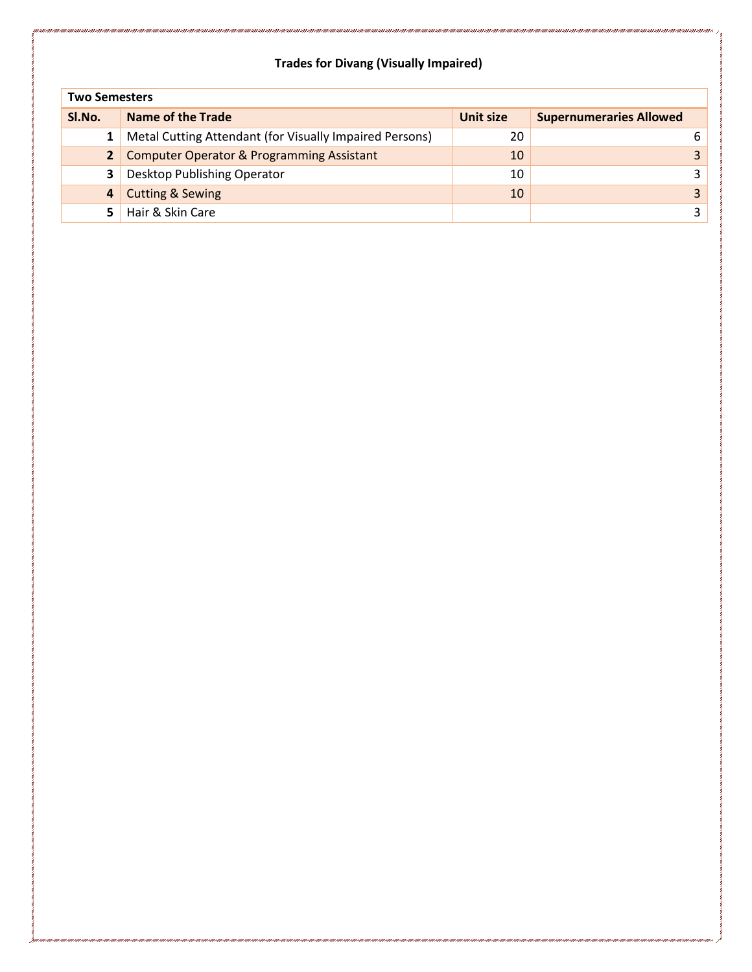### **Trades for Divang (Visually Impaired)**

| <b>Two Semesters</b> |                                                         |                  |                                |  |
|----------------------|---------------------------------------------------------|------------------|--------------------------------|--|
| SI.No.               | Name of the Trade                                       | <b>Unit size</b> | <b>Supernumeraries Allowed</b> |  |
|                      | Metal Cutting Attendant (for Visually Impaired Persons) | 20               | 6                              |  |
| $\overline{2}$       | <b>Computer Operator &amp; Programming Assistant</b>    | 10               |                                |  |
| 3                    | Desktop Publishing Operator                             | 10               |                                |  |
| 4                    | <b>Cutting &amp; Sewing</b>                             | 10               |                                |  |
| 5.                   | Hair & Skin Care                                        |                  |                                |  |

r i conr i conr i conr i conr i conr i conr i conr i conr i conr i conr i conr i conr i conr i con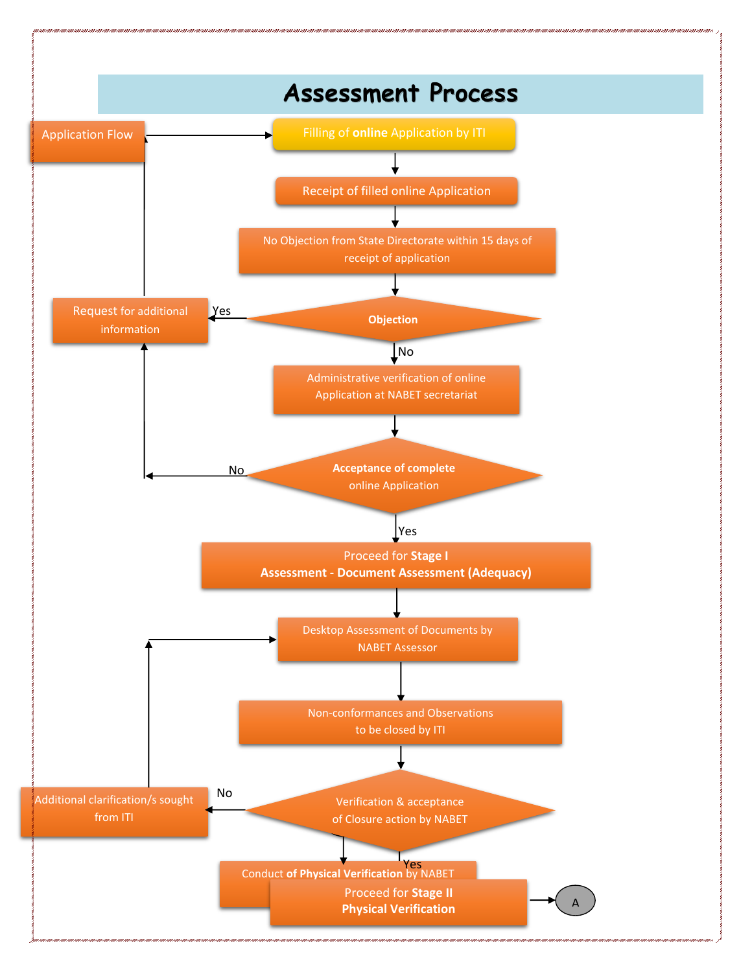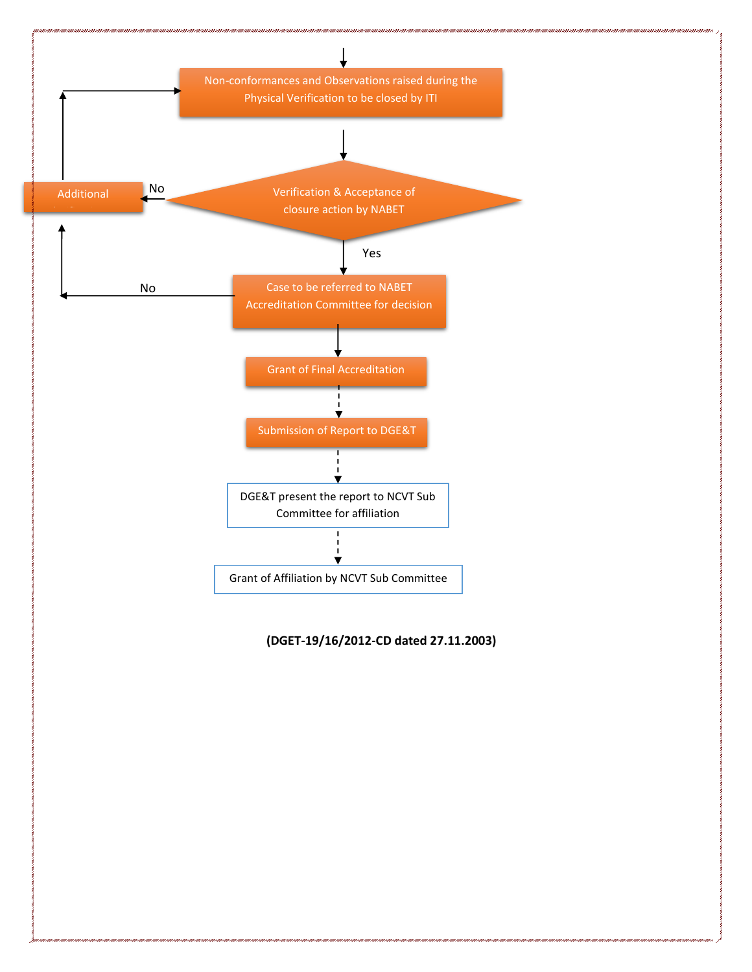

#### **(DGET-19/16/2012-CD dated 27.11.2003)**